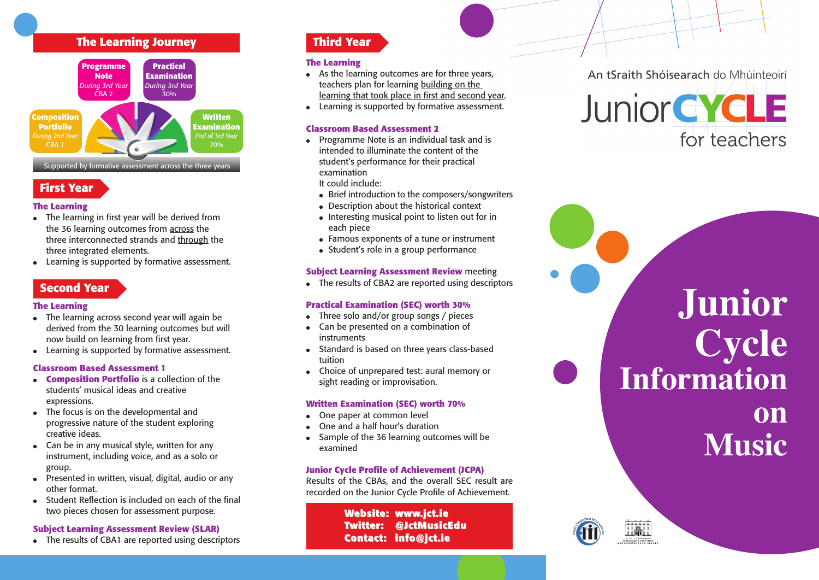# **T h e L e a r n i n g J o u r n e y**



# **F i r s t Ye a r**

# **T h e L e a r n i n g**

- $\bullet$  The learning in first year will be derived from the 36 learning outcomes from <u>across</u> the three interconnected strands and <u>through</u> the three integrated elements.
- Learning is supported by formative assessment.

# **S e c o n d Ye a r**

### **T h e L e a r n i n g**

- $\bullet$  The learning across second year will again be derived from the 30 learning outcomes but will now build on learning from first year.
- $\bullet$  Learning is supported by formative assessment.

# **classroom Based Assessment 1**

- **Composition Portfolio** is a collection of the students' musical ideas and creative expressions.
- The focus is on the developmental and progressive nature of the student exploring creative ideas.
- Can be in any musical style, written for any instrument, including voice, and as a solo or group.
- Presented in written, visual, digital, audio or any other format.
- Student Reflection is included on each of the final two pieces chosen for assessment purpose.

#### **Subject Learning Assessment Review (SLAR)**

• The results of CBA1 are reported using descriptors

# **T h i r d Ye a r**

### **T h e L e a r n i n g**

- $\bullet$  As the learning outcomes are for three years, teachers plan for learning <u>building on the</u> <u>learning that took place in first and second year</u>.
- $\bullet$  Learning is supported by formative assessment.

# **classroom Based Assessment 2**

● Programme Note is an individual task and is intended to illuminate the content of the student's performance for their practical examination

It could include:

- $\bullet$  Brief introduction to the composers/songwriters
- $\bullet$  Description about the historical context
- $\bullet$  Interesting musical point to listen out for in each piece
- $\bullet$  Famous exponents of a tune or instrument
- $\bullet\,$  Student's role in a group performance

### Subject Learning Assessment Review meeting

• The results of CBA2 are reported using descriptors

### Practical Examination (SEC) worth 30%

- Three solo and/or group songs / pieces
- $\bullet$  Can be presented on a combination of instruments
- $\bullet$  Standard is based on three years class-based tuition
- Choice of unprepared test: aural memory or sight reading or improvisation.

### Written Examination (SEC) worth 70%

- One paper at common level
- One and a half hour's duration
- Sample of the 36 learning outcomes will be examined

### Junior Cycle Profile of Achievement (JCPA)

Results of the CBAs, and the overall SEC result are recorded on the Junior Cycle Profile of Achievement.

> **We b s i t e : www. j c t . i e** Twitter: @JctMusicEdu **C o n t a c t : i n f o @ j c t . i e**

An tSraith Shóisearach do Mhúinteoirí



**J u n i o r C y c l e** Information **o n Music**